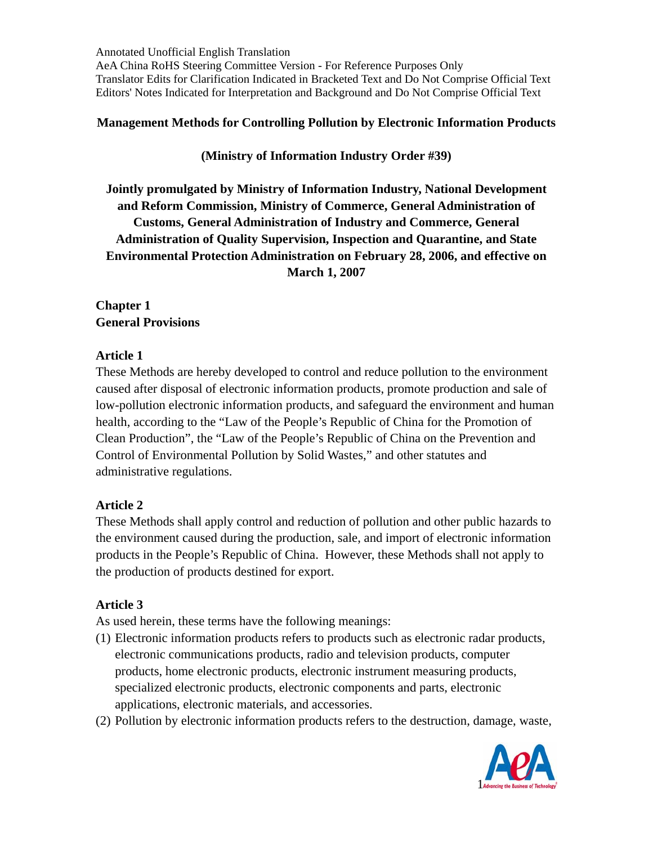### **Management Methods for Controlling Pollution by Electronic Information Products**

## **(Ministry of Information Industry Order #39)**

**Jointly promulgated by Ministry of Information Industry, National Development and Reform Commission, Ministry of Commerce, General Administration of Customs, General Administration of Industry and Commerce, General Administration of Quality Supervision, Inspection and Quarantine, and State Environmental Protection Administration on February 28, 2006, and effective on March 1, 2007** 

## **Chapter 1 General Provisions**

## **Article 1**

These Methods are hereby developed to control and reduce pollution to the environment caused after disposal of electronic information products, promote production and sale of low-pollution electronic information products, and safeguard the environment and human health, according to the "Law of the People's Republic of China for the Promotion of Clean Production", the "Law of the People's Republic of China on the Prevention and Control of Environmental Pollution by Solid Wastes," and other statutes and administrative regulations.

# **Article 2**

These Methods shall apply control and reduction of pollution and other public hazards to the environment caused during the production, sale, and import of electronic information products in the People's Republic of China. However, these Methods shall not apply to the production of products destined for export.

## **Article 3**

As used herein, these terms have the following meanings:

- (1) Electronic information products refers to products such as electronic radar products, electronic communications products, radio and television products, computer products, home electronic products, electronic instrument measuring products, specialized electronic products, electronic components and parts, electronic applications, electronic materials, and accessories.
- (2) Pollution by electronic information products refers to the destruction, damage, waste,

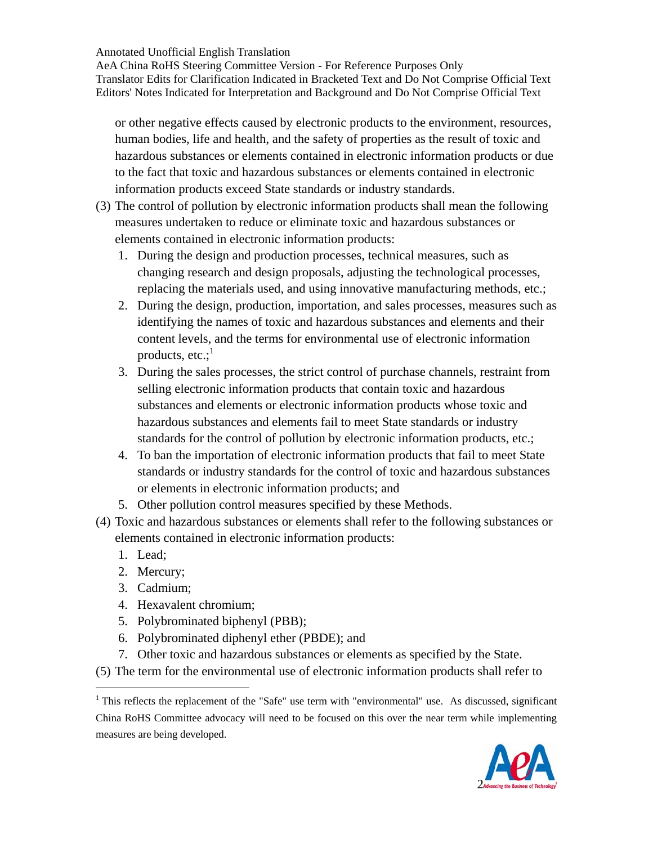AeA China RoHS Steering Committee Version - For Reference Purposes Only Translator Edits for Clarification Indicated in Bracketed Text and Do Not Comprise Official Text Editors' Notes Indicated for Interpretation and Background and Do Not Comprise Official Text

or other negative effects caused by electronic products to the environment, resources, human bodies, life and health, and the safety of properties as the result of toxic and hazardous substances or elements contained in electronic information products or due to the fact that toxic and hazardous substances or elements contained in electronic information products exceed State standards or industry standards.

- (3) The control of pollution by electronic information products shall mean the following measures undertaken to reduce or eliminate toxic and hazardous substances or elements contained in electronic information products:
	- 1. During the design and production processes, technical measures, such as changing research and design proposals, adjusting the technological processes, replacing the materials used, and using innovative manufacturing methods, etc.;
	- 2. During the design, production, importation, and sales processes, measures such as identifying the names of toxic and hazardous substances and elements and their content levels, and the terms for environmental use of electronic information products,  $etc.:^1$
	- 3. During the sales processes, the strict control of purchase channels, restraint from selling electronic information products that contain toxic and hazardous substances and elements or electronic information products whose toxic and hazardous substances and elements fail to meet State standards or industry standards for the control of pollution by electronic information products, etc.;
	- 4. To ban the importation of electronic information products that fail to meet State standards or industry standards for the control of toxic and hazardous substances or elements in electronic information products; and
	- 5. Other pollution control measures specified by these Methods.
- (4) Toxic and hazardous substances or elements shall refer to the following substances or elements contained in electronic information products:
	- 1. Lead;

 $\overline{a}$ 

- 2. Mercury;
- 3. Cadmium;
- 4. Hexavalent chromium;
- 5. Polybrominated biphenyl (PBB);
- 6. Polybrominated diphenyl ether (PBDE); and
- 7. Other toxic and hazardous substances or elements as specified by the State.
- (5) The term for the environmental use of electronic information products shall refer to

 $1$ <sup>1</sup> This reflects the replacement of the "Safe" use term with "environmental" use. As discussed, significant China RoHS Committee advocacy will need to be focused on this over the near term while implementing measures are being developed.

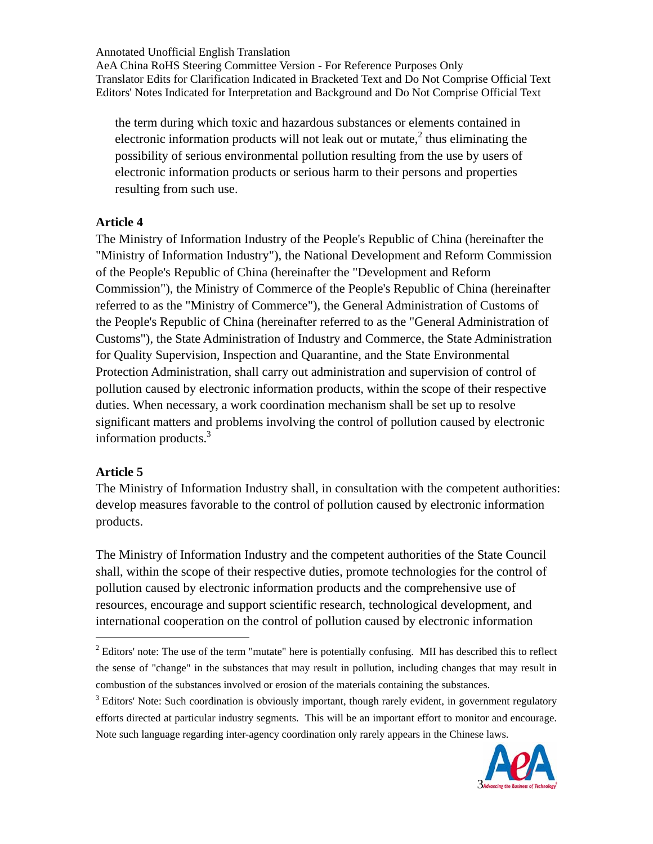AeA China RoHS Steering Committee Version - For Reference Purposes Only Translator Edits for Clarification Indicated in Bracketed Text and Do Not Comprise Official Text Editors' Notes Indicated for Interpretation and Background and Do Not Comprise Official Text

the term during which toxic and hazardous substances or elements contained in electronic information products will not leak out or mutate, $2$  thus eliminating the possibility of serious environmental pollution resulting from the use by users of electronic information products or serious harm to their persons and properties resulting from such use.

#### **Article 4**

The Ministry of Information Industry of the People's Republic of China (hereinafter the "Ministry of Information Industry"), the National Development and Reform Commission of the People's Republic of China (hereinafter the "Development and Reform Commission"), the Ministry of Commerce of the People's Republic of China (hereinafter referred to as the "Ministry of Commerce"), the General Administration of Customs of the People's Republic of China (hereinafter referred to as the "General Administration of Customs"), the State Administration of Industry and Commerce, the State Administration for Quality Supervision, Inspection and Quarantine, and the State Environmental Protection Administration, shall carry out administration and supervision of control of pollution caused by electronic information products, within the scope of their respective duties. When necessary, a work coordination mechanism shall be set up to resolve significant matters and problems involving the control of pollution caused by electronic information products. $3$ 

#### **Article 5**

 $\overline{a}$ 

The Ministry of Information Industry shall, in consultation with the competent authorities: develop measures favorable to the control of pollution caused by electronic information products.

The Ministry of Information Industry and the competent authorities of the State Council shall, within the scope of their respective duties, promote technologies for the control of pollution caused by electronic information products and the comprehensive use of resources, encourage and support scientific research, technological development, and international cooperation on the control of pollution caused by electronic information

<sup>&</sup>lt;sup>3</sup> Editors' Note: Such coordination is obviously important, though rarely evident, in government regulatory efforts directed at particular industry segments. This will be an important effort to monitor and encourage. Note such language regarding inter-agency coordination only rarely appears in the Chinese laws.



 $2^2$  Editors' note: The use of the term "mutate" here is potentially confusing. MII has described this to reflect the sense of "change" in the substances that may result in pollution, including changes that may result in combustion of the substances involved or erosion of the materials containing the substances.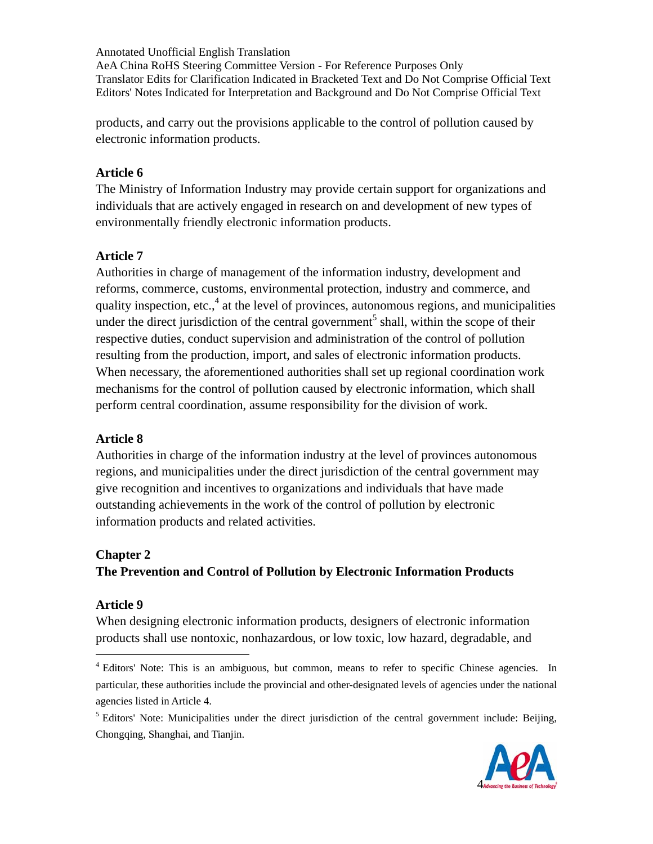products, and carry out the provisions applicable to the control of pollution caused by electronic information products.

#### **Article 6**

The Ministry of Information Industry may provide certain support for organizations and individuals that are actively engaged in research on and development of new types of environmentally friendly electronic information products.

### **Article 7**

Authorities in charge of management of the information industry, development and reforms, commerce, customs, environmental protection, industry and commerce, and quality inspection, etc., $4$  at the level of provinces, autonomous regions, and municipalities under the direct jurisdiction of the central government<sup>5</sup> shall, within the scope of their respective duties, conduct supervision and administration of the control of pollution resulting from the production, import, and sales of electronic information products. When necessary, the aforementioned authorities shall set up regional coordination work mechanisms for the control of pollution caused by electronic information, which shall perform central coordination, assume responsibility for the division of work.

## **Article 8**

Authorities in charge of the information industry at the level of provinces autonomous regions, and municipalities under the direct jurisdiction of the central government may give recognition and incentives to organizations and individuals that have made outstanding achievements in the work of the control of pollution by electronic information products and related activities.

#### **Chapter 2**

# **The Prevention and Control of Pollution by Electronic Information Products**

#### **Article 9**

 $\overline{a}$ 

When designing electronic information products, designers of electronic information products shall use nontoxic, nonhazardous, or low toxic, low hazard, degradable, and

<sup>&</sup>lt;sup>5</sup> Editors' Note: Municipalities under the direct jurisdiction of the central government include: Beijing, Chongqing, Shanghai, and Tianjin.



<sup>&</sup>lt;sup>4</sup> Editors' Note: This is an ambiguous, but common, means to refer to specific Chinese agencies. In particular, these authorities include the provincial and other-designated levels of agencies under the national agencies listed in Article 4.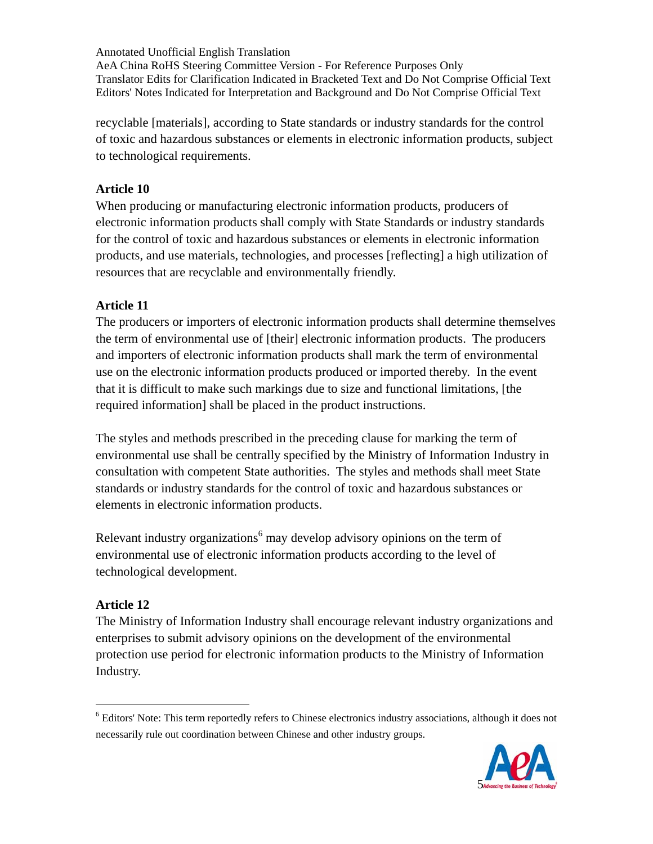recyclable [materials], according to State standards or industry standards for the control of toxic and hazardous substances or elements in electronic information products, subject to technological requirements.

### **Article 10**

When producing or manufacturing electronic information products, producers of electronic information products shall comply with State Standards or industry standards for the control of toxic and hazardous substances or elements in electronic information products, and use materials, technologies, and processes [reflecting] a high utilization of resources that are recyclable and environmentally friendly.

### **Article 11**

The producers or importers of electronic information products shall determine themselves the term of environmental use of [their] electronic information products. The producers and importers of electronic information products shall mark the term of environmental use on the electronic information products produced or imported thereby. In the event that it is difficult to make such markings due to size and functional limitations, [the required information] shall be placed in the product instructions.

The styles and methods prescribed in the preceding clause for marking the term of environmental use shall be centrally specified by the Ministry of Information Industry in consultation with competent State authorities. The styles and methods shall meet State standards or industry standards for the control of toxic and hazardous substances or elements in electronic information products.

Relevant industry organizations<sup>6</sup> may develop advisory opinions on the term of environmental use of electronic information products according to the level of technological development.

## **Article 12**

 $\overline{a}$ 

The Ministry of Information Industry shall encourage relevant industry organizations and enterprises to submit advisory opinions on the development of the environmental protection use period for electronic information products to the Ministry of Information Industry.

<sup>&</sup>lt;sup>6</sup> Editors' Note: This term reportedly refers to Chinese electronics industry associations, although it does not necessarily rule out coordination between Chinese and other industry groups.

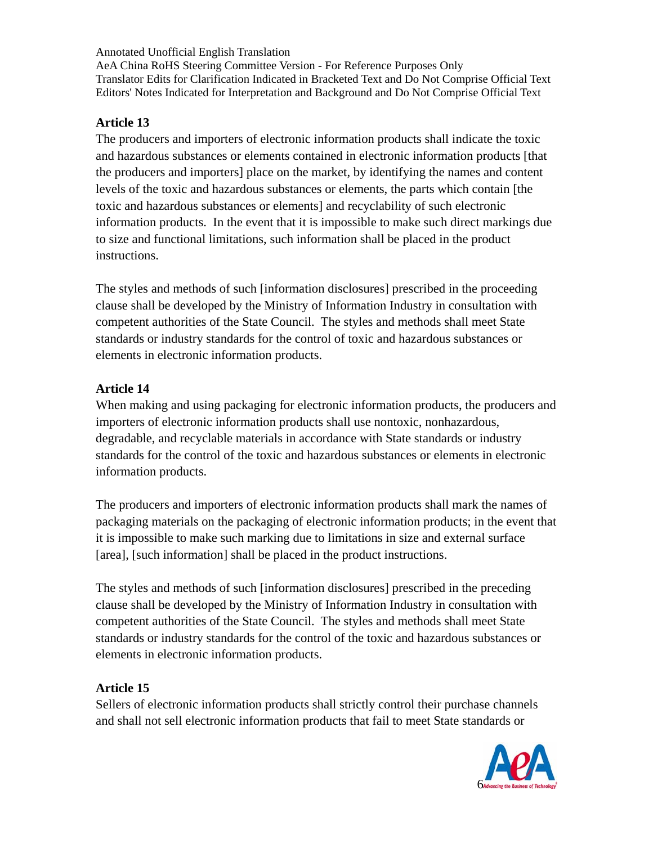#### **Article 13**

The producers and importers of electronic information products shall indicate the toxic and hazardous substances or elements contained in electronic information products [that the producers and importers] place on the market, by identifying the names and content levels of the toxic and hazardous substances or elements, the parts which contain [the toxic and hazardous substances or elements] and recyclability of such electronic information products. In the event that it is impossible to make such direct markings due to size and functional limitations, such information shall be placed in the product instructions.

The styles and methods of such [information disclosures] prescribed in the proceeding clause shall be developed by the Ministry of Information Industry in consultation with competent authorities of the State Council. The styles and methods shall meet State standards or industry standards for the control of toxic and hazardous substances or elements in electronic information products.

## **Article 14**

When making and using packaging for electronic information products, the producers and importers of electronic information products shall use nontoxic, nonhazardous, degradable, and recyclable materials in accordance with State standards or industry standards for the control of the toxic and hazardous substances or elements in electronic information products.

The producers and importers of electronic information products shall mark the names of packaging materials on the packaging of electronic information products; in the event that it is impossible to make such marking due to limitations in size and external surface [area], [such information] shall be placed in the product instructions.

The styles and methods of such [information disclosures] prescribed in the preceding clause shall be developed by the Ministry of Information Industry in consultation with competent authorities of the State Council. The styles and methods shall meet State standards or industry standards for the control of the toxic and hazardous substances or elements in electronic information products.

## **Article 15**

Sellers of electronic information products shall strictly control their purchase channels and shall not sell electronic information products that fail to meet State standards or

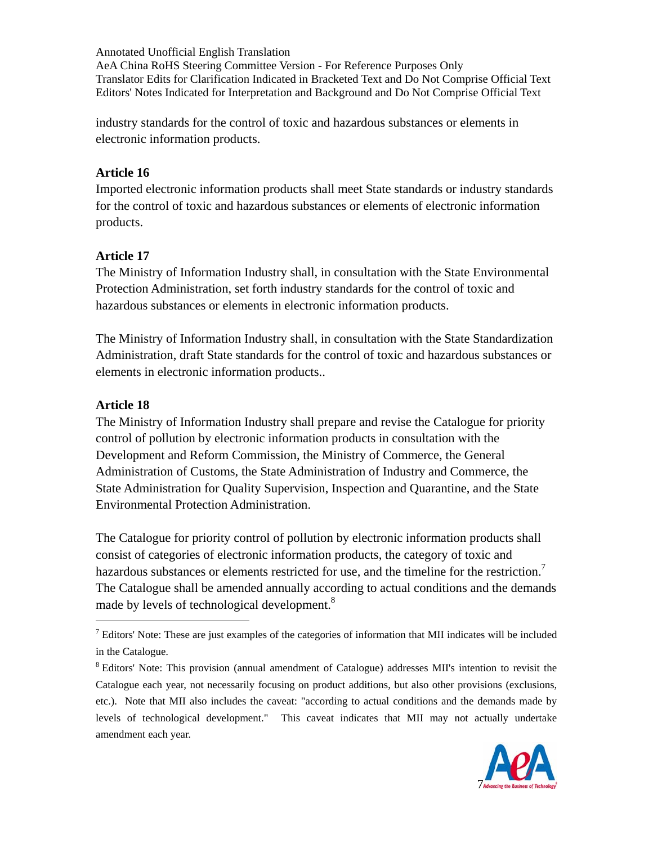industry standards for the control of toxic and hazardous substances or elements in electronic information products.

#### **Article 16**

Imported electronic information products shall meet State standards or industry standards for the control of toxic and hazardous substances or elements of electronic information products.

### **Article 17**

The Ministry of Information Industry shall, in consultation with the State Environmental Protection Administration, set forth industry standards for the control of toxic and hazardous substances or elements in electronic information products.

The Ministry of Information Industry shall, in consultation with the State Standardization Administration, draft State standards for the control of toxic and hazardous substances or elements in electronic information products..

### **Article 18**

 $\overline{a}$ 

The Ministry of Information Industry shall prepare and revise the Catalogue for priority control of pollution by electronic information products in consultation with the Development and Reform Commission, the Ministry of Commerce, the General Administration of Customs, the State Administration of Industry and Commerce, the State Administration for Quality Supervision, Inspection and Quarantine, and the State Environmental Protection Administration.

The Catalogue for priority control of pollution by electronic information products shall consist of categories of electronic information products, the category of toxic and hazardous substances or elements restricted for use, and the timeline for the restriction.<sup>7</sup> The Catalogue shall be amended annually according to actual conditions and the demands made by levels of technological development.<sup>8</sup>

<sup>&</sup>lt;sup>8</sup> Editors' Note: This provision (annual amendment of Catalogue) addresses MII's intention to revisit the Catalogue each year, not necessarily focusing on product additions, but also other provisions (exclusions, etc.). Note that MII also includes the caveat: "according to actual conditions and the demands made by levels of technological development." This caveat indicates that MII may not actually undertake amendment each year.



 $<sup>7</sup>$  Editors' Note: These are just examples of the categories of information that MII indicates will be included</sup> in the Catalogue.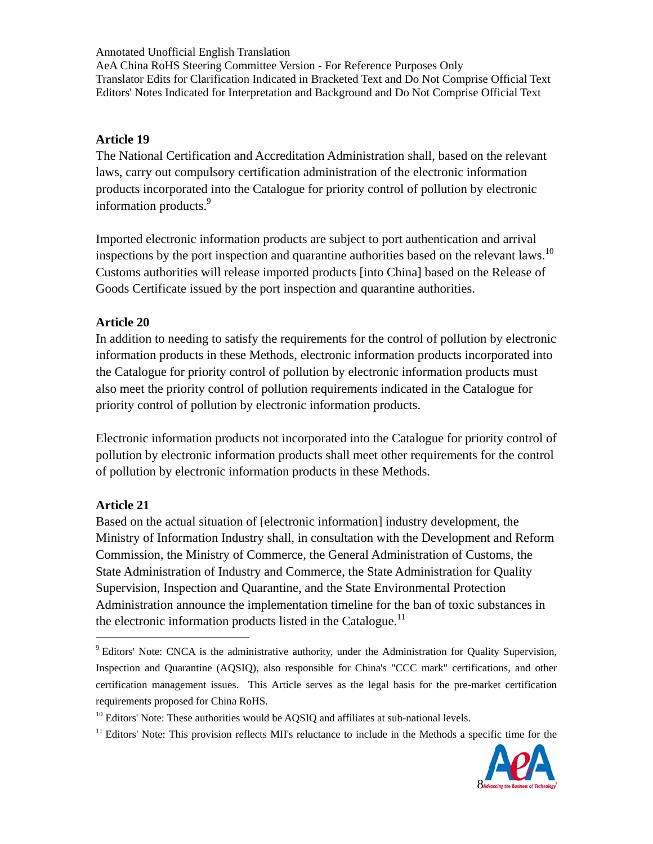Annotated Unofficial English Translation AeA China RoHS Steering Committee Version - For Reference Purposes Only

Translator Edits for Clarification Indicated in Bracketed Text and Do Not Comprise Official Text Editors' Notes Indicated for Interpretation and Background and Do Not Comprise Official Text

#### **Article 19**

The National Certification and Accreditation Administration shall, based on the relevant laws, carry out compulsory certification administration of the electronic information products incorporated into the Catalogue for priority control of pollution by electronic information products.<sup>9</sup>

Imported electronic information products are subject to port authentication and arrival inspections by the port inspection and quarantine authorities based on the relevant laws.<sup>10</sup> Customs authorities will release imported products [into China] based on the Release of Goods Certificate issued by the port inspection and quarantine authorities.

#### **Article 20**

In addition to needing to satisfy the requirements for the control of pollution by electronic information products in these Methods, electronic information products incorporated into the Catalogue for priority control of pollution by electronic information products must also meet the priority control of pollution requirements indicated in the Catalogue for priority control of pollution by electronic information products.

Electronic information products not incorporated into the Catalogue for priority control of pollution by electronic information products shall meet other requirements for the control of pollution by electronic information products in these Methods.

#### **Article 21**

 $\overline{a}$ 

Based on the actual situation of [electronic information] industry development, the Ministry of Information Industry shall, in consultation with the Development and Reform Commission, the Ministry of Commerce, the General Administration of Customs, the State Administration of Industry and Commerce, the State Administration for Quality Supervision, Inspection and Quarantine, and the State Environmental Protection Administration announce the implementation timeline for the ban of toxic substances in the electronic information products listed in the Catalogue.<sup>11</sup>

 $11$  Editors' Note: This provision reflects MII's reluctance to include in the Methods a specific time for the



<sup>&</sup>lt;sup>9</sup> Editors' Note: CNCA is the administrative authority, under the Administration for Quality Supervision, Inspection and Quarantine (AQSIQ), also responsible for China's "CCC mark" certifications, and other certification management issues. This Article serves as the legal basis for the pre-market certification requirements proposed for China RoHS.

 $10$  Editors' Note: These authorities would be AQSIQ and affiliates at sub-national levels.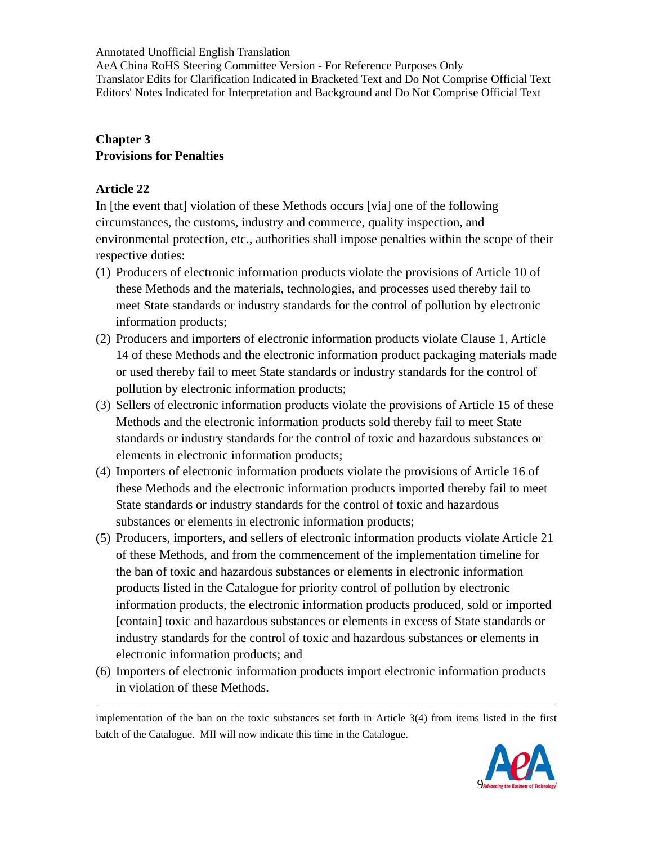AeA China RoHS Steering Committee Version - For Reference Purposes Only Translator Edits for Clarification Indicated in Bracketed Text and Do Not Comprise Official Text Editors' Notes Indicated for Interpretation and Background and Do Not Comprise Official Text

### **Chapter 3 Provisions for Penalties**

### **Article 22**

 $\overline{a}$ 

In [the event that] violation of these Methods occurs [via] one of the following circumstances, the customs, industry and commerce, quality inspection, and environmental protection, etc., authorities shall impose penalties within the scope of their respective duties:

- (1) Producers of electronic information products violate the provisions of Article 10 of these Methods and the materials, technologies, and processes used thereby fail to meet State standards or industry standards for the control of pollution by electronic information products;
- (2) Producers and importers of electronic information products violate Clause 1, Article 14 of these Methods and the electronic information product packaging materials made or used thereby fail to meet State standards or industry standards for the control of pollution by electronic information products;
- (3) Sellers of electronic information products violate the provisions of Article 15 of these Methods and the electronic information products sold thereby fail to meet State standards or industry standards for the control of toxic and hazardous substances or elements in electronic information products;
- (4) Importers of electronic information products violate the provisions of Article 16 of these Methods and the electronic information products imported thereby fail to meet State standards or industry standards for the control of toxic and hazardous substances or elements in electronic information products;
- (5) Producers, importers, and sellers of electronic information products violate Article 21 of these Methods, and from the commencement of the implementation timeline for the ban of toxic and hazardous substances or elements in electronic information products listed in the Catalogue for priority control of pollution by electronic information products, the electronic information products produced, sold or imported [contain] toxic and hazardous substances or elements in excess of State standards or industry standards for the control of toxic and hazardous substances or elements in electronic information products; and
- (6) Importers of electronic information products import electronic information products in violation of these Methods.

implementation of the ban on the toxic substances set forth in Article 3(4) from items listed in the first batch of the Catalogue. MII will now indicate this time in the Catalogue.

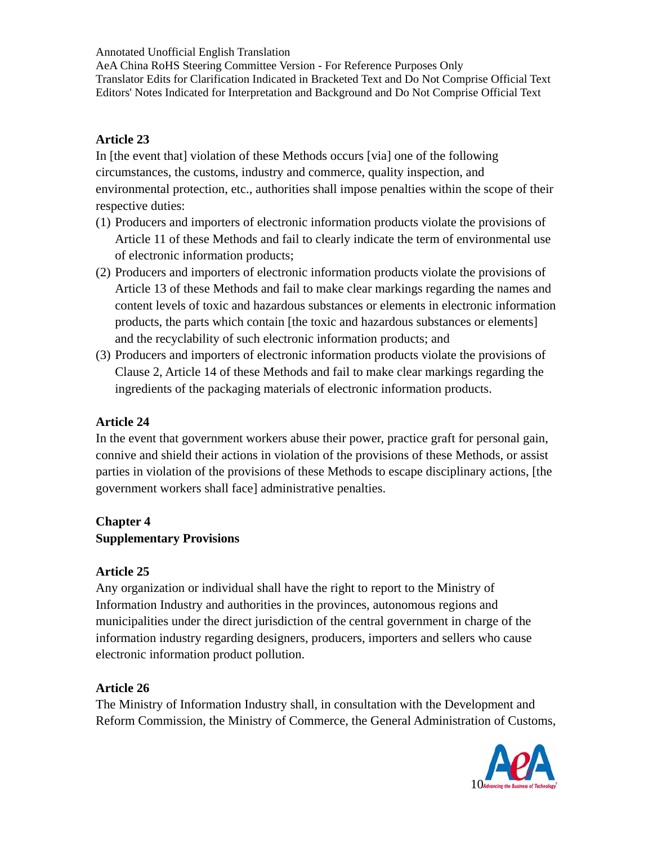AeA China RoHS Steering Committee Version - For Reference Purposes Only Translator Edits for Clarification Indicated in Bracketed Text and Do Not Comprise Official Text Editors' Notes Indicated for Interpretation and Background and Do Not Comprise Official Text

#### **Article 23**

In [the event that] violation of these Methods occurs [via] one of the following circumstances, the customs, industry and commerce, quality inspection, and environmental protection, etc., authorities shall impose penalties within the scope of their respective duties:

- (1) Producers and importers of electronic information products violate the provisions of Article 11 of these Methods and fail to clearly indicate the term of environmental use of electronic information products;
- (2) Producers and importers of electronic information products violate the provisions of Article 13 of these Methods and fail to make clear markings regarding the names and content levels of toxic and hazardous substances or elements in electronic information products, the parts which contain [the toxic and hazardous substances or elements] and the recyclability of such electronic information products; and
- (3) Producers and importers of electronic information products violate the provisions of Clause 2, Article 14 of these Methods and fail to make clear markings regarding the ingredients of the packaging materials of electronic information products.

## **Article 24**

In the event that government workers abuse their power, practice graft for personal gain, connive and shield their actions in violation of the provisions of these Methods, or assist parties in violation of the provisions of these Methods to escape disciplinary actions, [the government workers shall face] administrative penalties.

### **Chapter 4 Supplementary Provisions**

#### **Article 25**

Any organization or individual shall have the right to report to the Ministry of Information Industry and authorities in the provinces, autonomous regions and municipalities under the direct jurisdiction of the central government in charge of the information industry regarding designers, producers, importers and sellers who cause electronic information product pollution.

#### **Article 26**

The Ministry of Information Industry shall, in consultation with the Development and Reform Commission, the Ministry of Commerce, the General Administration of Customs,